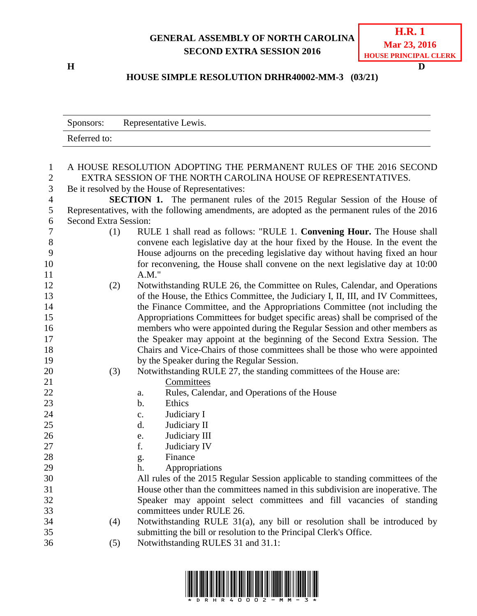## **GENERAL ASSEMBLY OF NORTH CAROLINA SECOND EXTRA SESSION 2016**

**H D**

## **HOUSE SIMPLE RESOLUTION DRHR40002-MM-3 (03/21)**

|                       | Representative Lewis.<br>Sponsors:                                                                                                   |     |                                                                                  |  |  |  |
|-----------------------|--------------------------------------------------------------------------------------------------------------------------------------|-----|----------------------------------------------------------------------------------|--|--|--|
|                       | Referred to:                                                                                                                         |     |                                                                                  |  |  |  |
|                       |                                                                                                                                      |     |                                                                                  |  |  |  |
| $\mathbf{1}$          |                                                                                                                                      |     | A HOUSE RESOLUTION ADOPTING THE PERMANENT RULES OF THE 2016 SECOND               |  |  |  |
| $\boldsymbol{2}$<br>3 | EXTRA SESSION OF THE NORTH CAROLINA HOUSE OF REPRESENTATIVES.                                                                        |     |                                                                                  |  |  |  |
| $\overline{4}$        | Be it resolved by the House of Representatives:<br><b>SECTION 1.</b> The permanent rules of the 2015 Regular Session of the House of |     |                                                                                  |  |  |  |
| 5                     | Representatives, with the following amendments, are adopted as the permanent rules of the 2016                                       |     |                                                                                  |  |  |  |
| 6                     | <b>Second Extra Session:</b>                                                                                                         |     |                                                                                  |  |  |  |
| 7                     |                                                                                                                                      | (1) | RULE 1 shall read as follows: "RULE 1. Convening Hour. The House shall           |  |  |  |
| $8\,$                 |                                                                                                                                      |     | convene each legislative day at the hour fixed by the House. In the event the    |  |  |  |
| 9                     |                                                                                                                                      |     | House adjourns on the preceding legislative day without having fixed an hour     |  |  |  |
| 10                    |                                                                                                                                      |     | for reconvening, the House shall convene on the next legislative day at 10:00    |  |  |  |
| 11                    |                                                                                                                                      |     | $A.M.$ "                                                                         |  |  |  |
| 12                    |                                                                                                                                      | (2) | Notwithstanding RULE 26, the Committee on Rules, Calendar, and Operations        |  |  |  |
| 13                    |                                                                                                                                      |     | of the House, the Ethics Committee, the Judiciary I, II, III, and IV Committees, |  |  |  |
| 14                    |                                                                                                                                      |     | the Finance Committee, and the Appropriations Committee (not including the       |  |  |  |
| 15                    |                                                                                                                                      |     | Appropriations Committees for budget specific areas) shall be comprised of the   |  |  |  |
| 16                    |                                                                                                                                      |     | members who were appointed during the Regular Session and other members as       |  |  |  |
| 17                    |                                                                                                                                      |     | the Speaker may appoint at the beginning of the Second Extra Session. The        |  |  |  |
| 18                    |                                                                                                                                      |     | Chairs and Vice-Chairs of those committees shall be those who were appointed     |  |  |  |
| 19                    |                                                                                                                                      |     | by the Speaker during the Regular Session.                                       |  |  |  |
| 20                    |                                                                                                                                      | (3) | Notwithstanding RULE 27, the standing committees of the House are:               |  |  |  |
| 21<br>22              |                                                                                                                                      |     | Committees                                                                       |  |  |  |
| 23                    |                                                                                                                                      |     | Rules, Calendar, and Operations of the House<br>a.<br>$b$ .<br>Ethics            |  |  |  |
| 24                    |                                                                                                                                      |     | Judiciary I<br>c.                                                                |  |  |  |
| 25                    |                                                                                                                                      |     | Judiciary II<br>d.                                                               |  |  |  |
| 26                    |                                                                                                                                      |     | Judiciary III<br>e.                                                              |  |  |  |
| 27                    |                                                                                                                                      |     | f.<br>Judiciary IV                                                               |  |  |  |
| 28                    |                                                                                                                                      |     | Finance<br>g.                                                                    |  |  |  |
| 29                    |                                                                                                                                      |     | Appropriations<br>h.                                                             |  |  |  |
| 30                    |                                                                                                                                      |     | All rules of the 2015 Regular Session applicable to standing committees of the   |  |  |  |
| 31                    |                                                                                                                                      |     | House other than the committees named in this subdivision are inoperative. The   |  |  |  |
| 32                    |                                                                                                                                      |     | Speaker may appoint select committees and fill vacancies of standing             |  |  |  |
| 33                    |                                                                                                                                      |     | committees under RULE 26.                                                        |  |  |  |
| 34                    |                                                                                                                                      | (4) | Notwithstanding RULE 31(a), any bill or resolution shall be introduced by        |  |  |  |
| 35                    |                                                                                                                                      |     | submitting the bill or resolution to the Principal Clerk's Office.               |  |  |  |
| 36                    |                                                                                                                                      | (5) | Notwithstanding RULES 31 and 31.1:                                               |  |  |  |